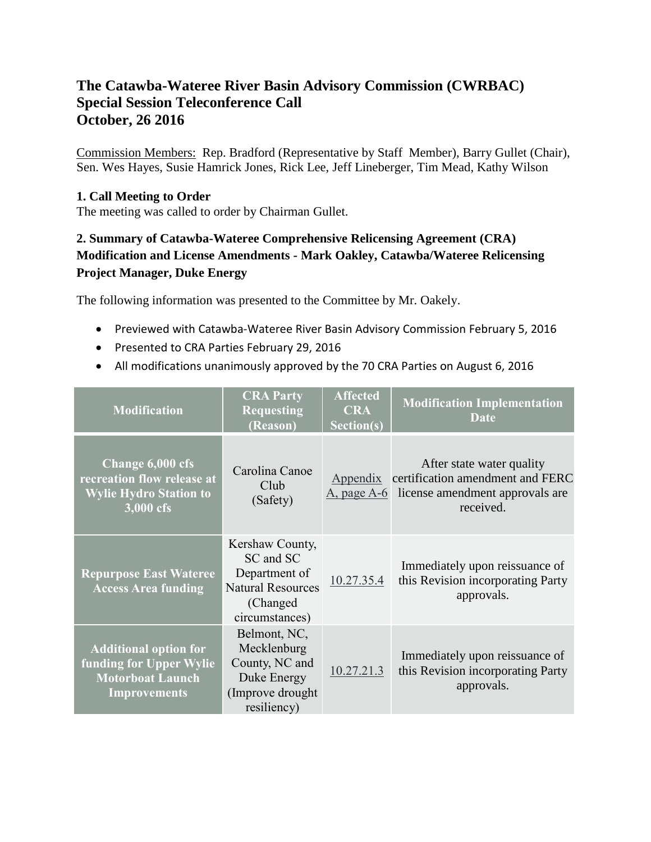# **The Catawba-Wateree River Basin Advisory Commission (CWRBAC) Special Session Teleconference Call October, 26 2016**

Commission Members: Rep. Bradford (Representative by Staff Member), Barry Gullet (Chair), Sen. Wes Hayes, Susie Hamrick Jones, Rick Lee, Jeff Lineberger, Tim Mead, Kathy Wilson

#### **1. Call Meeting to Order**

The meeting was called to order by Chairman Gullet.

## **2. Summary of Catawba-Wateree Comprehensive Relicensing Agreement (CRA) Modification and License Amendments - Mark Oakley, Catawba/Wateree Relicensing Project Manager, Duke Energy**

The following information was presented to the Committee by Mr. Oakely.

- Previewed with Catawba-Wateree River Basin Advisory Commission February 5, 2016
- Presented to CRA Parties February 29, 2016
- All modifications unanimously approved by the 70 CRA Parties on August 6, 2016

| <b>Modification</b>                                                                                       | <b>CRA Party</b><br><b>Requesting</b><br>(Reason)                                                        | <b>Affected</b><br><b>CRA</b><br>Section(s) | <b>Modification Implementation</b><br>Date                                                                    |
|-----------------------------------------------------------------------------------------------------------|----------------------------------------------------------------------------------------------------------|---------------------------------------------|---------------------------------------------------------------------------------------------------------------|
| Change 6,000 cfs<br>recreation flow release at<br><b>Wylie Hydro Station to</b><br>3,000 cfs              | Carolina Canoe<br>Club<br>(Safety)                                                                       | Appendix<br>$A$ , page $A-6$                | After state water quality<br>certification amendment and FERC<br>license amendment approvals are<br>received. |
| <b>Repurpose East Wateree</b><br><b>Access Area funding</b>                                               | Kershaw County,<br>SC and SC<br>Department of<br><b>Natural Resources</b><br>(Changed)<br>circumstances) | 10.27.35.4                                  | Immediately upon reissuance of<br>this Revision incorporating Party<br>approvals.                             |
| <b>Additional option for</b><br>funding for Upper Wylie<br><b>Motorboat Launch</b><br><b>Improvements</b> | Belmont, NC,<br>Mecklenburg<br>County, NC and<br>Duke Energy<br>(Improve drought)<br>resiliency)         | 10.27.21.3                                  | Immediately upon reissuance of<br>this Revision incorporating Party<br>approvals.                             |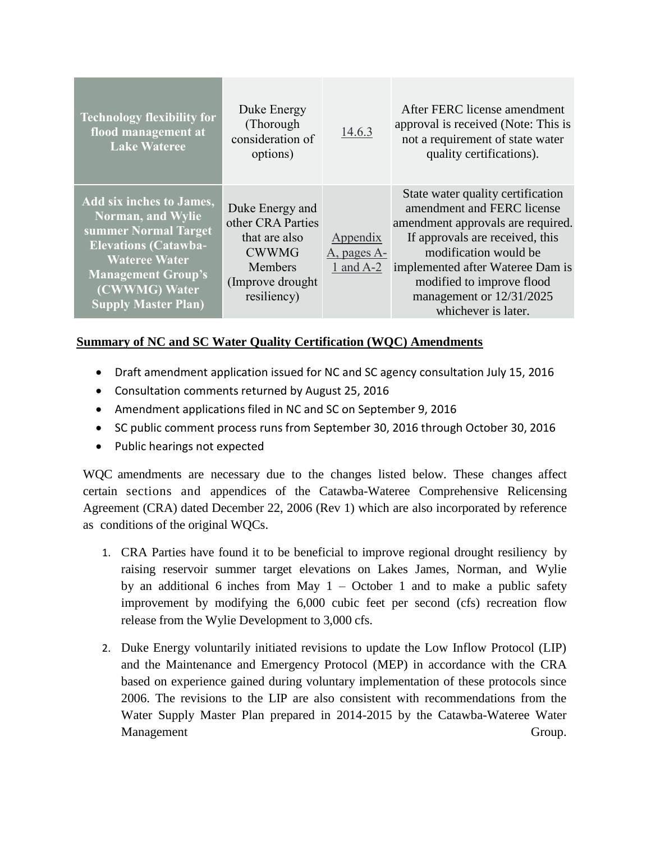| <b>Technology flexibility for</b><br>flood management at<br><b>Lake Wateree</b>                                                                                                                                        | Duke Energy<br>(Thorough)<br>consideration of<br>options)                                                            | 14.6.3                                 | After FERC license amendment<br>approval is received (Note: This is<br>not a requirement of state water<br>quality certifications).                                                                                                                                                  |
|------------------------------------------------------------------------------------------------------------------------------------------------------------------------------------------------------------------------|----------------------------------------------------------------------------------------------------------------------|----------------------------------------|--------------------------------------------------------------------------------------------------------------------------------------------------------------------------------------------------------------------------------------------------------------------------------------|
| <b>Add six inches to James,</b><br><b>Norman, and Wylie</b><br>summer Normal Target<br><b>Elevations (Catawba-</b><br><b>Wateree Water</b><br><b>Management Group's</b><br>(CWWMG) Water<br><b>Supply Master Plan)</b> | Duke Energy and<br>other CRA Parties<br>that are also<br><b>CWWMG</b><br>Members<br>(Improve drought)<br>resiliency) | Appendix<br>A, pages A-<br>1 and $A-2$ | State water quality certification<br>amendment and FERC license<br>amendment approvals are required.<br>If approvals are received, this<br>modification would be<br>implemented after Wateree Dam is<br>modified to improve flood<br>management or 12/31/2025<br>whichever is later. |

### **Summary of NC and SC Water Quality Certification (WQC) Amendments**

- Draft amendment application issued for NC and SC agency consultation July 15, 2016
- Consultation comments returned by August 25, 2016
- Amendment applications filed in NC and SC on September 9, 2016
- SC public comment process runs from September 30, 2016 through October 30, 2016
- Public hearings not expected

WQC amendments are necessary due to the changes listed below. These changes affect certain sections and appendices of the Catawba-Wateree Comprehensive Relicensing Agreement (CRA) dated December 22, 2006 (Rev 1) which are also incorporated by reference as conditions of the original WQCs.

- 1. CRA Parties have found it to be beneficial to improve regional drought resiliency by raising reservoir summer target elevations on Lakes James, Norman, and Wylie by an additional 6 inches from May  $1 -$ October 1 and to make a public safety improvement by modifying the 6,000 cubic feet per second (cfs) recreation flow release from the Wylie Development to 3,000 cfs.
- 2. Duke Energy voluntarily initiated revisions to update the Low Inflow Protocol (LIP) and the Maintenance and Emergency Protocol (MEP) in accordance with the CRA based on experience gained during voluntary implementation of these protocols since 2006. The revisions to the LIP are also consistent with recommendations from the Water Supply Master Plan prepared in 2014-2015 by the Catawba-Wateree Water Management Group. Communication of the Communication of Group.